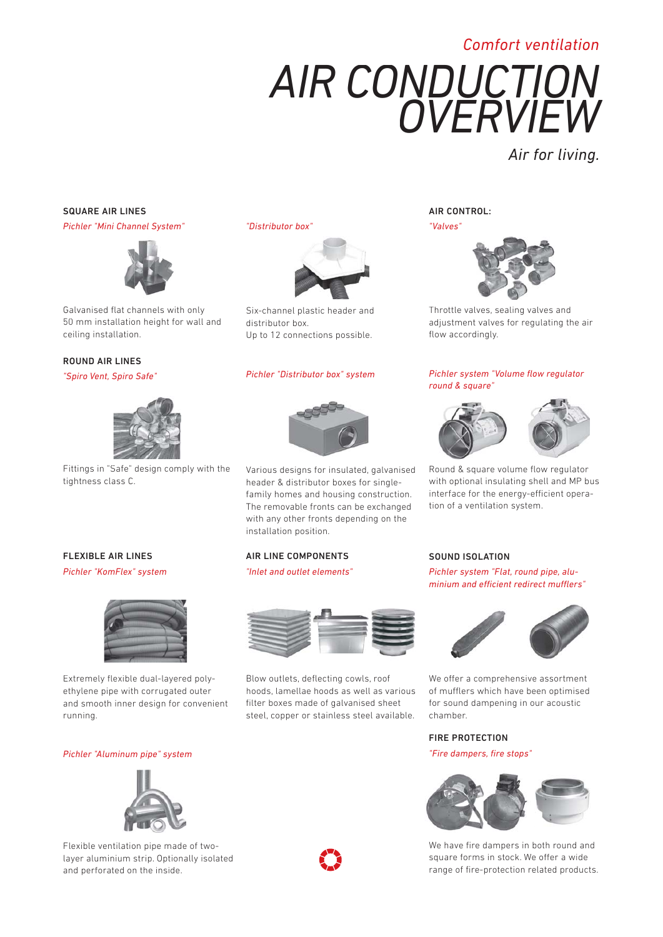# *Comfort ventilation*

# *AIR CONDUCTION OVERVIEW*

*Air for living.*

## SQUARE AIR LINES

*Pichler "Mini Channel System"*



Galvanised flat channels with only 50 mm installation height for wall and ceiling installation.

## ROUND AIR LINES

*"Spiro Vent, Spiro Safe"*

FLEXIBLE AIR LINES *Pichler "KomFlex" system*



Fittings in "Safe" design comply with the tightness class C.

*"Distributor box"* 



Six-channel plastic header and distributor box. Up to 12 connections possible.

#### *Pichler "Distributor box" system*



Various designs for insulated, galvanised header & distributor boxes for singlefamily homes and housing construction. The removable fronts can be exchanged with any other fronts depending on the installation position.

### AIR LINE COMPONENTS

*"Inlet and outlet elements"* 



Extremely flexible dual-layered polyethylene pipe with corrugated outer and smooth inner design for convenient running.

#### *Pichler "Aluminum pipe" system*



Flexible ventilation pipe made of twolayer aluminium strip. Optionally isolated and perforated on the inside.



Blow outlets, deflecting cowls, roof hoods, lamellae hoods as well as various filter boxes made of galvanised sheet steel, copper or stainless steel available.

AIR CONTROL:



Throttle valves, sealing valves and adjustment valves for regulating the air flow accordingly.

### *Pichler system "Volume flow regulator round & square"*





Round & square volume flow regulator with optional insulating shell and MP bus interface for the energy-efficient operation of a ventilation system.

### SOUND ISOLATION

*Pichler system "Flat, round pipe, aluminium and efficient redirect mufflers"* 



We offer a comprehensive assortment of mufflers which have been optimised for sound dampening in our acoustic chamber.

## FIRE PROTECTION

*"Fire dampers, fi re stops"*